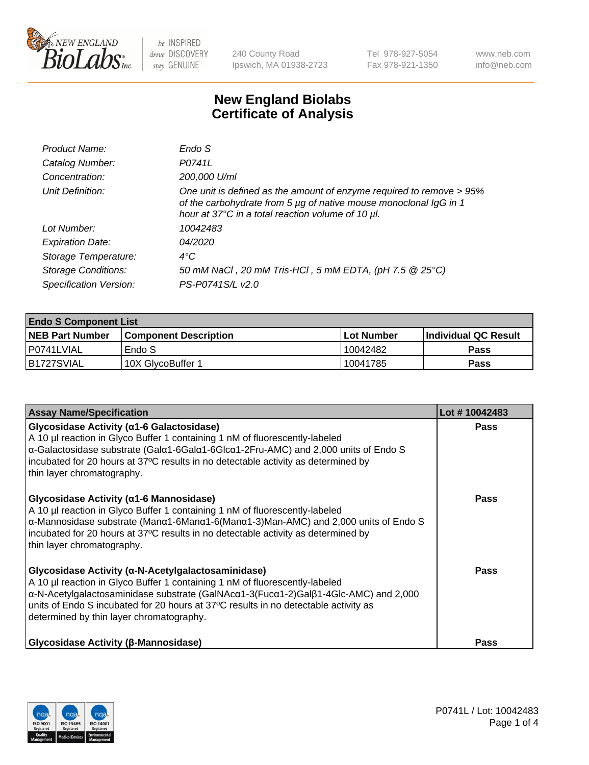

240 County Road Ipswich, MA 01938-2723 Tel 978-927-5054 Fax 978-921-1350 www.neb.com info@neb.com

## **New England Biolabs Certificate of Analysis**

| Endo S                                                                                                                                                                                         |
|------------------------------------------------------------------------------------------------------------------------------------------------------------------------------------------------|
| P0741L                                                                                                                                                                                         |
| 200,000 U/ml                                                                                                                                                                                   |
| One unit is defined as the amount of enzyme required to remove > 95%<br>of the carbohydrate from 5 µg of native mouse monoclonal IgG in 1<br>hour at 37°C in a total reaction volume of 10 µl. |
| 10042483                                                                                                                                                                                       |
| 04/2020                                                                                                                                                                                        |
| $4^{\circ}$ C                                                                                                                                                                                  |
| 50 mM NaCl, 20 mM Tris-HCl, 5 mM EDTA, (pH 7.5 @ 25°C)                                                                                                                                         |
| PS-P0741S/L v2.0                                                                                                                                                                               |
|                                                                                                                                                                                                |

| <b>Endo S Component List</b> |                        |            |                             |  |  |
|------------------------------|------------------------|------------|-----------------------------|--|--|
| <b>NEB Part Number</b>       | Component Description. | Lot Number | <b>Individual QC Result</b> |  |  |
| I P0741LVIAL                 | Endo S                 | 10042482   | Pass                        |  |  |
| IB1727SVIAL                  | 10X GlycoBuffer 1      | 10041785   | Pass                        |  |  |

| <b>Assay Name/Specification</b>                                                                                                                                                                                                                                                                                                                                                               | Lot #10042483 |
|-----------------------------------------------------------------------------------------------------------------------------------------------------------------------------------------------------------------------------------------------------------------------------------------------------------------------------------------------------------------------------------------------|---------------|
| Glycosidase Activity (α1-6 Galactosidase)<br>A 10 µl reaction in Glyco Buffer 1 containing 1 nM of fluorescently-labeled<br>α-Galactosidase substrate (Galα1-6Galα1-6Glcα1-2Fru-AMC) and 2,000 units of Endo S<br>incubated for 20 hours at 37°C results in no detectable activity as determined by<br>thin layer chromatography.                                                             | <b>Pass</b>   |
| Glycosidase Activity ( $\alpha$ 1-6 Mannosidase)<br>A 10 µl reaction in Glyco Buffer 1 containing 1 nM of fluorescently-labeled<br>$\alpha$ -Mannosidase substrate (Man $\alpha$ 1-6Man $\alpha$ 1-6(Man $\alpha$ 1-3)Man-AMC) and 2,000 units of Endo S<br>incubated for 20 hours at 37°C results in no detectable activity as determined by<br>thin layer chromatography.                   | <b>Pass</b>   |
| Glycosidase Activity (α-N-Acetylgalactosaminidase)<br>A 10 µl reaction in Glyco Buffer 1 containing 1 nM of fluorescently-labeled<br>$\alpha$ -N-Acetylgalactosaminidase substrate (GalNAc $\alpha$ 1-3(Fuc $\alpha$ 1-2)Gal $\beta$ 1-4Glc-AMC) and 2,000<br>units of Endo S incubated for 20 hours at 37°C results in no detectable activity as<br>determined by thin layer chromatography. | Pass          |
| <b>Glycosidase Activity (β-Mannosidase)</b>                                                                                                                                                                                                                                                                                                                                                   | <b>Pass</b>   |

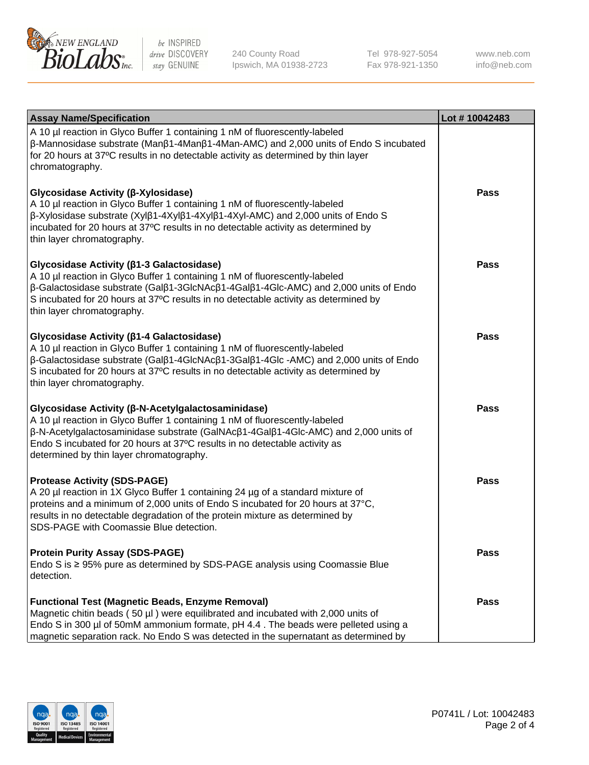

240 County Road Ipswich, MA 01938-2723 Tel 978-927-5054 Fax 978-921-1350

www.neb.com info@neb.com

| <b>Assay Name/Specification</b>                                                                                                                                                                                                                                                                                                                                      | Lot #10042483 |
|----------------------------------------------------------------------------------------------------------------------------------------------------------------------------------------------------------------------------------------------------------------------------------------------------------------------------------------------------------------------|---------------|
| A 10 µl reaction in Glyco Buffer 1 containing 1 nM of fluorescently-labeled<br>$\beta$ -Mannosidase substrate (Man $\beta$ 1-4Man $\beta$ 1-4Man-AMC) and 2,000 units of Endo S incubated<br>for 20 hours at 37°C results in no detectable activity as determined by thin layer<br>chromatography.                                                                   |               |
| Glycosidase Activity (β-Xylosidase)<br>A 10 µl reaction in Glyco Buffer 1 containing 1 nM of fluorescently-labeled<br>$\beta$ -Xylosidase substrate (Xyl $\beta$ 1-4Xyl $\beta$ 1-4Xyl $\beta$ 1-4Xyl-AMC) and 2,000 units of Endo S<br>incubated for 20 hours at 37°C results in no detectable activity as determined by<br>thin layer chromatography.              | Pass          |
| Glycosidase Activity (β1-3 Galactosidase)<br>A 10 µl reaction in Glyco Buffer 1 containing 1 nM of fluorescently-labeled<br>β-Galactosidase substrate (Galβ1-3GlcNAcβ1-4Galβ1-4Glc-AMC) and 2,000 units of Endo<br>S incubated for 20 hours at 37°C results in no detectable activity as determined by<br>thin layer chromatography.                                 | Pass          |
| Glycosidase Activity (β1-4 Galactosidase)<br>A 10 µl reaction in Glyco Buffer 1 containing 1 nM of fluorescently-labeled<br>$\beta$ -Galactosidase substrate (Gal $\beta$ 1-4GlcNAc $\beta$ 1-3Gal $\beta$ 1-4Glc -AMC) and 2,000 units of Endo<br>S incubated for 20 hours at 37°C results in no detectable activity as determined by<br>thin layer chromatography. | Pass          |
| Glycosidase Activity (β-N-Acetylgalactosaminidase)<br>A 10 µl reaction in Glyco Buffer 1 containing 1 nM of fluorescently-labeled<br>β-N-Acetylgalactosaminidase substrate (GalNAcβ1-4Galβ1-4Glc-AMC) and 2,000 units of<br>Endo S incubated for 20 hours at 37°C results in no detectable activity as<br>determined by thin layer chromatography.                   | <b>Pass</b>   |
| <b>Protease Activity (SDS-PAGE)</b><br>A 20 µl reaction in 1X Glyco Buffer 1 containing 24 µg of a standard mixture of<br>proteins and a minimum of 2,000 units of Endo S incubated for 20 hours at 37°C,<br>results in no detectable degradation of the protein mixture as determined by<br>SDS-PAGE with Coomassie Blue detection.                                 | <b>Pass</b>   |
| <b>Protein Purity Assay (SDS-PAGE)</b><br>Endo S is ≥ 95% pure as determined by SDS-PAGE analysis using Coomassie Blue<br>detection.                                                                                                                                                                                                                                 | Pass          |
| <b>Functional Test (Magnetic Beads, Enzyme Removal)</b><br>Magnetic chitin beads (50 µl) were equilibrated and incubated with 2,000 units of<br>Endo S in 300 µl of 50mM ammonium formate, pH 4.4. The beads were pelleted using a<br>magnetic separation rack. No Endo S was detected in the supernatant as determined by                                           | Pass          |

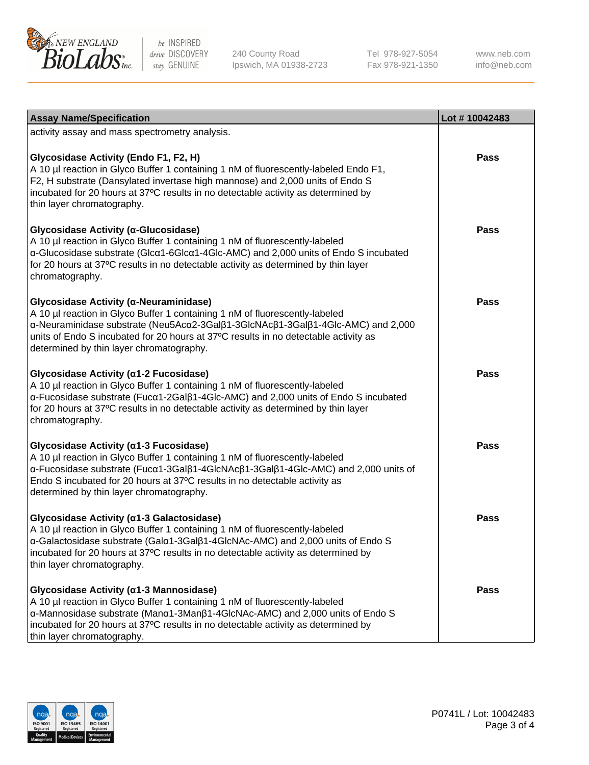

240 County Road Ipswich, MA 01938-2723 Tel 978-927-5054 Fax 978-921-1350

www.neb.com info@neb.com

| <b>Assay Name/Specification</b>                                                                                                                                                                                                                                                                                                             | Lot #10042483 |
|---------------------------------------------------------------------------------------------------------------------------------------------------------------------------------------------------------------------------------------------------------------------------------------------------------------------------------------------|---------------|
| activity assay and mass spectrometry analysis.                                                                                                                                                                                                                                                                                              |               |
| <b>Glycosidase Activity (Endo F1, F2, H)</b><br>A 10 µl reaction in Glyco Buffer 1 containing 1 nM of fluorescently-labeled Endo F1,<br>F2, H substrate (Dansylated invertase high mannose) and 2,000 units of Endo S<br>incubated for 20 hours at 37°C results in no detectable activity as determined by<br>thin layer chromatography.    | Pass          |
| Glycosidase Activity (α-Glucosidase)<br>A 10 µl reaction in Glyco Buffer 1 containing 1 nM of fluorescently-labeled<br>α-Glucosidase substrate (Glcα1-6Glcα1-4Glc-AMC) and 2,000 units of Endo S incubated<br>for 20 hours at 37°C results in no detectable activity as determined by thin layer<br>chromatography.                         | Pass          |
| Glycosidase Activity (α-Neuraminidase)<br>A 10 µl reaction in Glyco Buffer 1 containing 1 nM of fluorescently-labeled<br>α-Neuraminidase substrate (Neu5Acα2-3Galβ1-3GlcNAcβ1-3Galβ1-4Glc-AMC) and 2,000<br>units of Endo S incubated for 20 hours at 37°C results in no detectable activity as<br>determined by thin layer chromatography. | Pass          |
| Glycosidase Activity (α1-2 Fucosidase)<br>A 10 µl reaction in Glyco Buffer 1 containing 1 nM of fluorescently-labeled<br>α-Fucosidase substrate (Fucα1-2Galβ1-4Glc-AMC) and 2,000 units of Endo S incubated<br>for 20 hours at 37°C results in no detectable activity as determined by thin layer<br>chromatography.                        | Pass          |
| Glycosidase Activity (α1-3 Fucosidase)<br>A 10 µl reaction in Glyco Buffer 1 containing 1 nM of fluorescently-labeled<br>α-Fucosidase substrate (Fucα1-3Galβ1-4GlcNAcβ1-3Galβ1-4Glc-AMC) and 2,000 units of<br>Endo S incubated for 20 hours at 37°C results in no detectable activity as<br>determined by thin layer chromatography.       | <b>Pass</b>   |
| Glycosidase Activity (α1-3 Galactosidase)<br>A 10 µl reaction in Glyco Buffer 1 containing 1 nM of fluorescently-labeled<br>a-Galactosidase substrate (Gala1-3Galß1-4GlcNAc-AMC) and 2,000 units of Endo S<br>incubated for 20 hours at 37°C results in no detectable activity as determined by<br>thin layer chromatography.               | <b>Pass</b>   |
| Glycosidase Activity (α1-3 Mannosidase)<br>A 10 µl reaction in Glyco Buffer 1 containing 1 nM of fluorescently-labeled<br>α-Mannosidase substrate (Μanα1-3Μanβ1-4GlcNAc-AMC) and 2,000 units of Endo S<br>incubated for 20 hours at 37°C results in no detectable activity as determined by<br>thin layer chromatography.                   | Pass          |